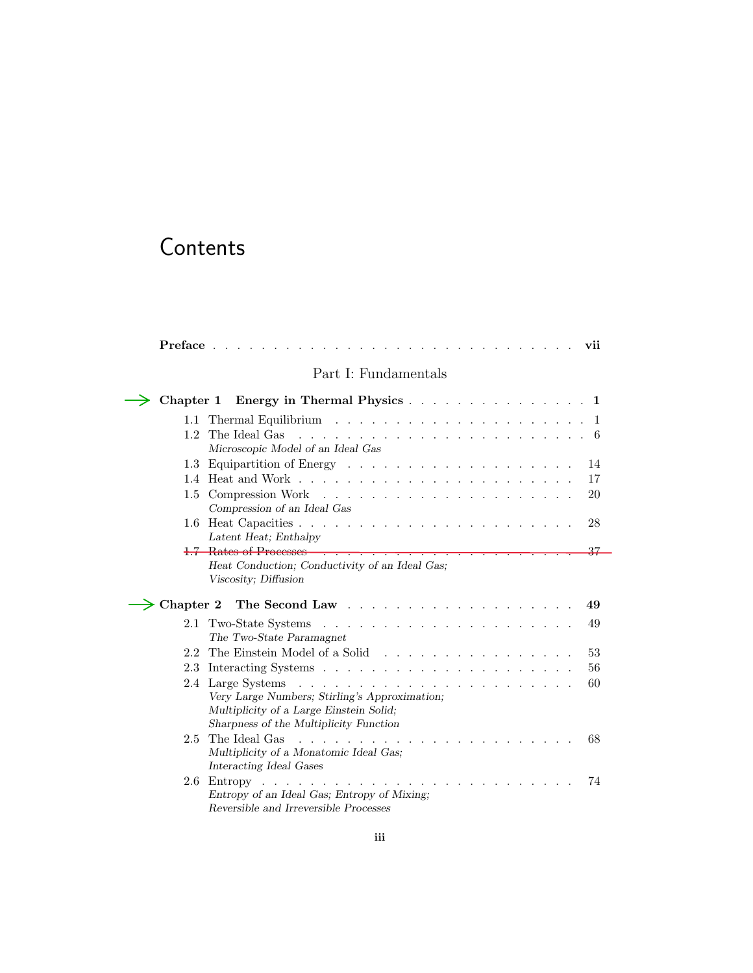# Contents

÷

|                  | $Preface \dots \dots$<br>vii<br>$\frac{1}{2}$                                                                                            |
|------------------|------------------------------------------------------------------------------------------------------------------------------------------|
|                  | Part I: Fundamentals                                                                                                                     |
|                  | Chapter 1 Energy in Thermal Physics 1                                                                                                    |
|                  |                                                                                                                                          |
| $1.2^{\circ}$    | The Ideal Gas<br>Microscopic Model of an Ideal Gas                                                                                       |
|                  | 14                                                                                                                                       |
|                  | 17                                                                                                                                       |
|                  | 20<br>Compression of an Ideal Gas                                                                                                        |
|                  | 28<br>Latent Heat; Enthalpy                                                                                                              |
|                  | <del>1.7 Rates of Processes</del><br>$^{27}$<br>÷<br>$\sim$ $\sim$ $\sim$ $\sim$                                                         |
| $\geq$ Chapter 2 | Viscosity; Diffusion<br>49                                                                                                               |
| 2.1              | 49<br>The Two-State Paramagnet                                                                                                           |
| 2.2              | The Einstein Model of a Solid<br>53                                                                                                      |
|                  | 56                                                                                                                                       |
|                  | 60<br>Very Large Numbers; Stirling's Approximation;<br>Multiplicity of a Large Einstein Solid;<br>Sharpness of the Multiplicity Function |
|                  | 68<br>Multiplicity of a Monatomic Ideal Gas;<br>Interacting Ideal Gases                                                                  |
| 2.6              | 74<br>Entropy of an Ideal Gas; Entropy of Mixing;<br>Reversible and Irreversible Processes                                               |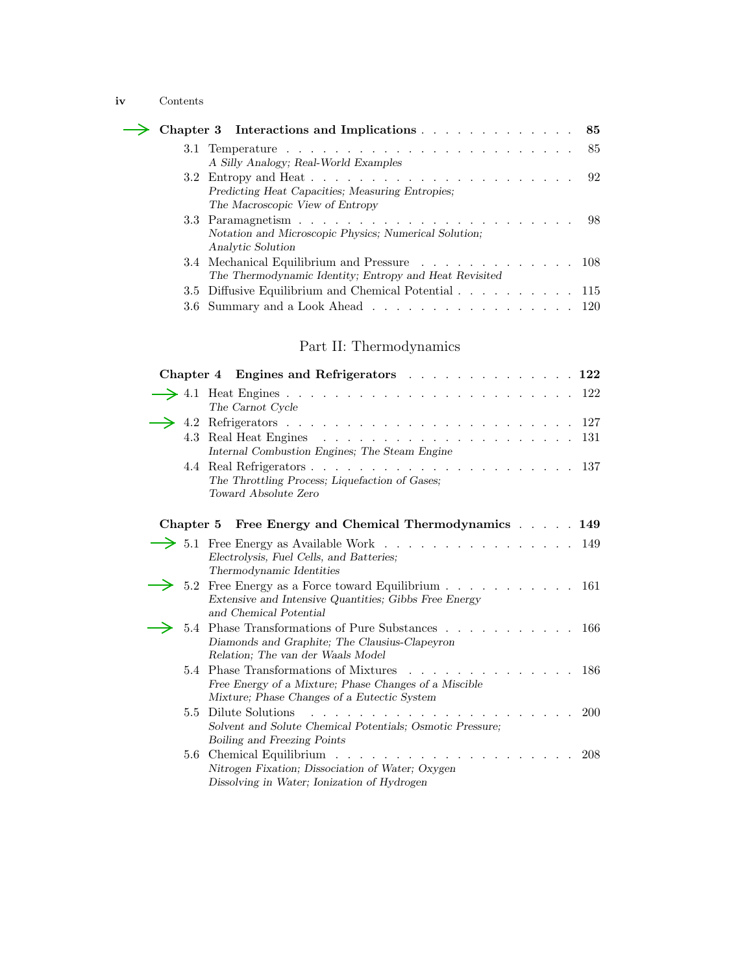### **iv** Contents

|  | $\rightarrow$ Chapter 3 Interactions and Implications 85 |
|--|----------------------------------------------------------|
|  |                                                          |
|  | A Silly Analogy; Real-World Examples                     |
|  |                                                          |
|  | Predicting Heat Capacities; Measuring Entropies;         |
|  | The Macroscopic View of Entropy                          |
|  |                                                          |
|  | Notation and Microscopic Physics; Numerical Solution;    |
|  | Analytic Solution                                        |
|  | 3.4 Mechanical Equilibrium and Pressure 108              |
|  | The Thermodynamic Identity; Entropy and Heat Revisited   |
|  | 3.5 Diffusive Equilibrium and Chemical Potential 115     |
|  | 3.6 Summary and a Look Ahead 120                         |
|  |                                                          |

## Part II: Thermodynamics

|               | Chapter 4 Engines and Refrigerators 122                                                                                                                  |
|---------------|----------------------------------------------------------------------------------------------------------------------------------------------------------|
|               | The Carnot Cycle                                                                                                                                         |
|               |                                                                                                                                                          |
|               | 131<br>Internal Combustion Engines; The Steam Engine                                                                                                     |
|               | The Throttling Process; Liquefaction of Gases;<br>Toward Absolute Zero                                                                                   |
|               | Chapter 5 Free Energy and Chemical Thermodynamics 149                                                                                                    |
|               | 5.1 Free Energy as Available Work<br>149<br>Electrolysis, Fuel Cells, and Batteries;<br>Thermodynamic Identities                                         |
|               | 5.2 Free Energy as a Force toward Equilibrium 161<br>Extensive and Intensive Quantities; Gibbs Free Energy<br>and Chemical Potential                     |
| 5.4           | Phase Transformations of Pure Substances<br>-166<br>Diamonds and Graphite; The Clausius-Clapeyron<br>Relation; The van der Waals Model                   |
| 5.4           | <b>Phase Transformations of Mixtures</b><br>-186<br>Free Energy of a Mixture; Phase Changes of a Miscible<br>Mixture; Phase Changes of a Eutectic System |
| $5.5^{\circ}$ | Dilute Solutions<br><b>200</b><br>Solvent and Solute Chemical Potentials; Osmotic Pressure;<br>Boiling and Freezing Points                               |
|               | 208<br>Nitrogen Fixation; Dissociation of Water; Oxygen<br>Dissolving in Water; Ionization of Hydrogen                                                   |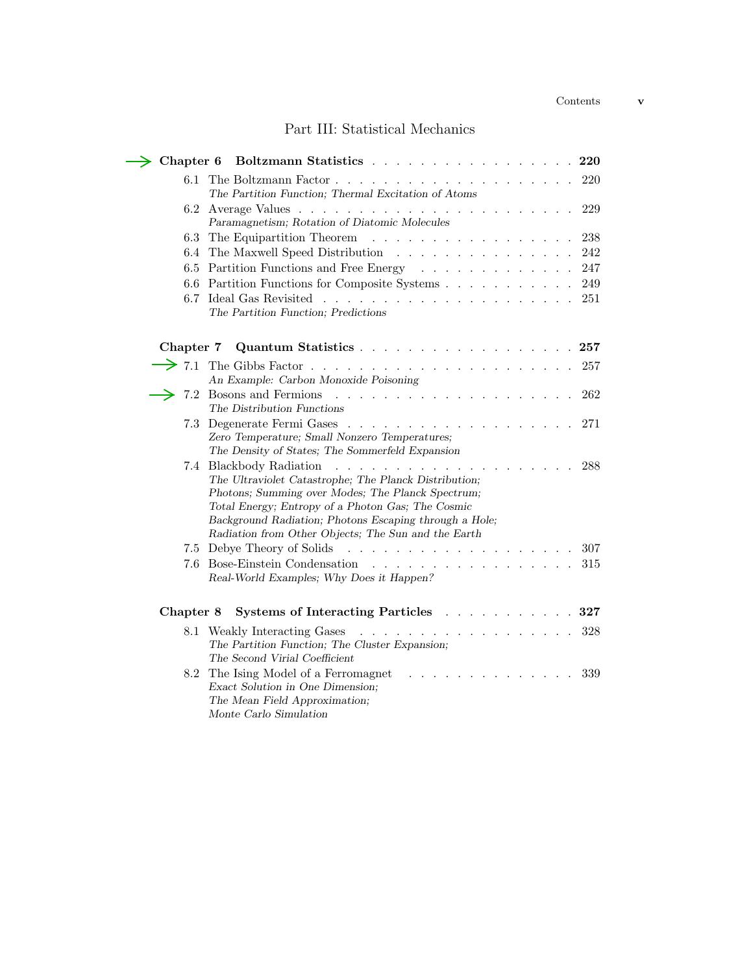## Part III: Statistical Mechanics

L.

|                   | Chapter 6 Boltzmann Statistics<br>220                                                                                                                                                                                                                                                                              |
|-------------------|--------------------------------------------------------------------------------------------------------------------------------------------------------------------------------------------------------------------------------------------------------------------------------------------------------------------|
| 6.1               | 220<br>The Partition Function; Thermal Excitation of Atoms                                                                                                                                                                                                                                                         |
| 6.2               | 229                                                                                                                                                                                                                                                                                                                |
|                   | Paramagnetism; Rotation of Diatomic Molecules                                                                                                                                                                                                                                                                      |
| 6.3               | The Equipartition Theorem<br>238<br>and the contract of the contract of the contract of the contract of the contract of the contract of the contract of the contract of the contract of the contract of the contract of the contract of the contract of the contra                                                 |
|                   | 6.4 The Maxwell Speed Distribution<br>242                                                                                                                                                                                                                                                                          |
|                   | 6.5 Partition Functions and Free Energy<br>247                                                                                                                                                                                                                                                                     |
|                   | 6.6 Partition Functions for Composite Systems<br>249                                                                                                                                                                                                                                                               |
|                   | 251<br>The Partition Function; Predictions                                                                                                                                                                                                                                                                         |
| Chapter 7         | Quantum Statistics<br>257                                                                                                                                                                                                                                                                                          |
| $\rightarrow$ 7.1 | 257<br>An Example: Carbon Monoxide Poisoning                                                                                                                                                                                                                                                                       |
|                   | 262<br>The Distribution Functions                                                                                                                                                                                                                                                                                  |
|                   | 7.3 Degenerate Fermi Gases<br>271<br>Zero Temperature; Small Nonzero Temperatures;<br>The Density of States; The Sommerfeld Expansion                                                                                                                                                                              |
|                   | 7.4 Blackbody Radiation<br>288<br>The Ultraviolet Catastrophe; The Planck Distribution;<br>Photons; Summing over Modes; The Planck Spectrum;<br>Total Energy; Entropy of a Photon Gas; The Cosmic<br>Background Radiation; Photons Escaping through a Hole;<br>Radiation from Other Objects; The Sun and the Earth |
|                   | 7.5 Debye Theory of Solids<br>.<br>307                                                                                                                                                                                                                                                                             |
|                   | 7.6 Bose-Einstein Condensation<br>315<br><u>.</u><br>Real-World Examples; Why Does it Happen?                                                                                                                                                                                                                      |
| Chapter 8         | Systems of Interacting Particles 327                                                                                                                                                                                                                                                                               |
|                   | 328<br>8.1 Weakly Interacting Gases<br>The Partition Function; The Cluster Expansion;<br>The Second Virial Coefficient                                                                                                                                                                                             |
| 8.2               | The Ising Model of a Ferromagnet<br>339<br>Exact Solution in One Dimension;<br>The Mean Field Approximation;<br>Monte Carlo Simulation                                                                                                                                                                             |